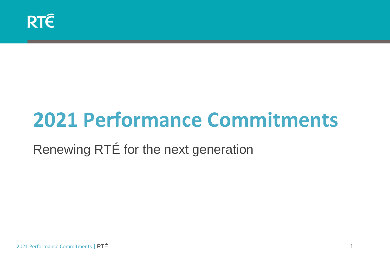## **2021 Performance Commitments**

Renewing RTÉ for the next generation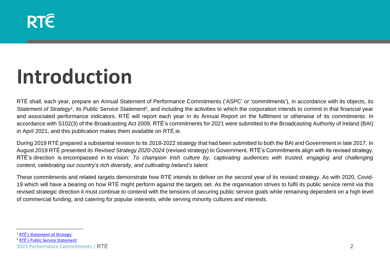### **RTE**

## **Introduction**

RTÉ shall, each year, prepare an Annual Statement of Performance Commitments ('ASPC' or 'commitments'), in accordance with its objects, its Statement of Strategy<sup>1</sup>, its Public Service Statement<sup>2</sup>, and including the activities to which the corporation intends to commit in that financial year and associated performance indicators. RTÉ will report each year in its Annual Report on the fulfilment or otherwise of its commitments*.* In accordance with S102(3) of the Broadcasting Act 2009, RTÉ's commitments for 2021 were submitted to the Broadcasting Authority of Ireland (BAI) in April 2021, and this publication makes them available on RTÉ.ie.

During 2019 RTÉ prepared a substantial revision to its 2018-2022 strategy that had been submitted to both the BAI and Government in late 2017. In August 2019 RTÉ presented its *Revised Strategy 2020-2024* (revised strategy) to Government. RTÉ's Commitments align with its revised strategy. RTÉ's direction is encompassed in its vision: *To champion Irish culture by, captivating audiences with trusted, engaging and challenging content, celebrating our country's rich diversity, and cultivating Ireland's talent.*

These commitments and related targets demonstrate how RTÉ intends to deliver on the second year of its revised strategy. As with 2020, Covid-19 which will have a bearing on how RTÉ might perform against the targets set. As the organisation strives to fulfil its public service remit via this revised strategic direction it must continue to contend with the tensions of securing public service goals while remaining dependent on a high level of commercial funding, and catering for popular interests, while serving minority cultures and interests.

<sup>1</sup> [RTÉ's Statement of Strategy](https://about.rte.ie/wp-content/uploads/2019/07/rte-public-service-statement-english.pdf)

<sup>2</sup> [RTÉ's Public Service Statement](https://about.rte.ie/wp-content/uploads/2019/07/rte-public-service-statement-english.pdf)

<sup>2021</sup> Performance Commitments | RTÉ 2022 Performance Commitments | RTÉ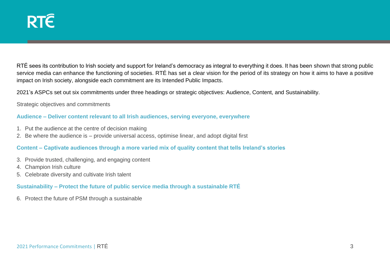RTÉ sees its contribution to Irish society and support for Ireland's democracy as integral to everything it does. It has been shown that strong public service media can enhance the functioning of societies. RTÉ has set a clear vision for the period of its strategy on how it aims to have a positive impact on Irish society, alongside each commitment are its Intended Public Impacts.

2021's ASPCs set out six commitments under three headings or strategic objectives: Audience, Content, and Sustainability.

Strategic objectives and commitments

#### **Audience – Deliver content relevant to all Irish audiences, serving everyone, everywhere**

- 1. Put the audience at the centre of decision making
- 2. Be where the audience is provide universal access, optimise linear, and adopt digital first

#### **Content – Captivate audiences through a more varied mix of quality content that tells Ireland's stories**

- 3. Provide trusted, challenging, and engaging content
- 4. Champion Irish culture
- 5. Celebrate diversity and cultivate Irish talent

#### **Sustainability – Protect the future of public service media through a sustainable RTÉ**

6. Protect the future of PSM through a sustainable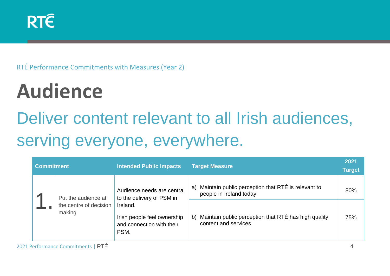RTÉ Performance Commitments with Measures (Year 2)

# **Audience**

### Deliver content relevant to all Irish audiences, serving everyone, everywhere.

| <b>Commitment</b> |                                  | <b>Intended Public Impacts</b>                                               | <b>Target Measure</b>                                                               | 2021<br><b>Target</b> |
|-------------------|----------------------------------|------------------------------------------------------------------------------|-------------------------------------------------------------------------------------|-----------------------|
|                   | Put the audience at              | Audience needs are central<br>to the delivery of PSM in                      | Maintain public perception that RTÉ is relevant to<br>a)<br>people in Ireland today | 80%                   |
|                   | the centre of decision<br>making | Ireland.<br>Irish people feel ownership<br>and connection with their<br>PSM. | Maintain public perception that RTÉ has high quality<br>b)<br>content and services  | 75%                   |

2021 Performance Commitments | RTÉ 4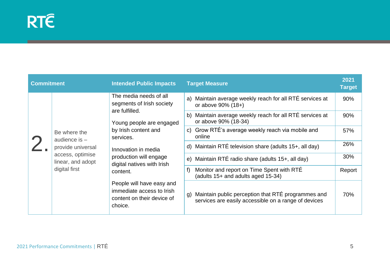| <b>Commitment</b> |                                                                                                                | <b>Intended Public Impacts</b>                                                                                                                                                                                                    | <b>Target Measure</b>                                                                                         | 2021<br><b>Target</b> |
|-------------------|----------------------------------------------------------------------------------------------------------------|-----------------------------------------------------------------------------------------------------------------------------------------------------------------------------------------------------------------------------------|---------------------------------------------------------------------------------------------------------------|-----------------------|
|                   | Be where the<br>audience is $-$<br>provide universal<br>access, optimise<br>linear, and adopt<br>digital first | The media needs of all<br>segments of Irish society<br>are fulfilled.<br>Young people are engaged<br>by Irish content and<br>services.<br>Innovation in media<br>production will engage<br>digital natives with Irish<br>content. | a) Maintain average weekly reach for all RTÉ services at<br>or above 90% (18+)                                | 90%                   |
|                   |                                                                                                                |                                                                                                                                                                                                                                   | b) Maintain average weekly reach for all RTÉ services at<br>or above 90% (18-34)                              |                       |
|                   |                                                                                                                |                                                                                                                                                                                                                                   | c) Grow RTÉ's average weekly reach via mobile and<br>online                                                   | 57%                   |
|                   |                                                                                                                |                                                                                                                                                                                                                                   | d) Maintain RTÉ television share (adults $15+$ , all day)                                                     | 26%                   |
|                   |                                                                                                                |                                                                                                                                                                                                                                   | e) Maintain RTÉ radio share (adults 15+, all day)                                                             | 30%                   |
|                   |                                                                                                                |                                                                                                                                                                                                                                   | Monitor and report on Time Spent with RTÉ<br>f)<br>(adults 15+ and adults aged 15-34)                         | Report                |
|                   |                                                                                                                | People will have easy and<br>immediate access to Irish<br>content on their device of<br>choice.                                                                                                                                   | g) Maintain public perception that RTÉ programmes and<br>services are easily accessible on a range of devices | 70%                   |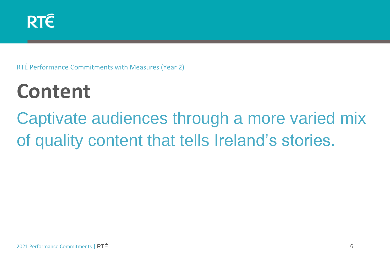RTÉ Performance Commitments with Measures (Year 2)

# **Content**

Captivate audiences through a more varied mix of quality content that tells Ireland's stories.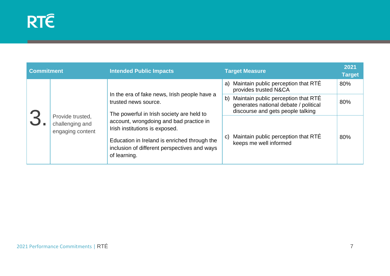| <b>Commitment</b> |                                                         | <b>Intended Public Impacts</b>                                                                                                                                                                                                                                                                                 |              | <b>Target Measure</b>                                                                                             | 2021<br><b>Target</b> |
|-------------------|---------------------------------------------------------|----------------------------------------------------------------------------------------------------------------------------------------------------------------------------------------------------------------------------------------------------------------------------------------------------------------|--------------|-------------------------------------------------------------------------------------------------------------------|-----------------------|
|                   | Provide trusted,<br>challenging and<br>engaging content | In the era of fake news, Irish people have a<br>trusted news source.<br>The powerful in Irish society are held to<br>account, wrongdoing and bad practice in<br>Irish institutions is exposed.<br>Education in Ireland is enriched through the<br>inclusion of different perspectives and ways<br>of learning. |              | a) Maintain public perception that RTÉ<br>provides trusted N&CA                                                   | 80%                   |
|                   |                                                         |                                                                                                                                                                                                                                                                                                                | b)           | Maintain public perception that RTÉ<br>generates national debate / political<br>discourse and gets people talking | 80%                   |
|                   |                                                         |                                                                                                                                                                                                                                                                                                                | $\mathbf{C}$ | Maintain public perception that RTÉ<br>keeps me well informed                                                     | 80%                   |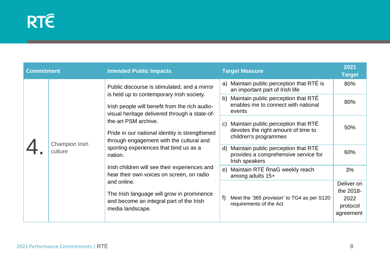| <b>Commitment</b> |                           | <b>Intended Public Impacts</b>                                                                                                                                                                                                                                                                                                                                                                                                                                                                                                                                                                     | <b>Target Measure</b>                                                                                               | 2021<br><b>Target</b>   |
|-------------------|---------------------------|----------------------------------------------------------------------------------------------------------------------------------------------------------------------------------------------------------------------------------------------------------------------------------------------------------------------------------------------------------------------------------------------------------------------------------------------------------------------------------------------------------------------------------------------------------------------------------------------------|---------------------------------------------------------------------------------------------------------------------|-------------------------|
|                   | Champion Irish<br>culture | Public discourse is stimulated, and a mirror<br>is held up to contemporary Irish society.<br>Irish people will benefit from the rich audio-<br>visual heritage delivered through a state-of-<br>the-art PSM archive.<br>Pride in our national identity is strengthened<br>through engagement with the cultural and<br>sporting experiences that bind us as a<br>nation.<br>Irish children will see their experiences and<br>hear their own voices on screen, on radio<br>and online.<br>The Irish language will grow in prominence<br>and become an integral part of the Irish<br>media landscape. | Maintain public perception that RTÉ is<br>a)<br>an important part of Irish life                                     | 80%                     |
|                   |                           |                                                                                                                                                                                                                                                                                                                                                                                                                                                                                                                                                                                                    | Maintain public perception that RTÉ<br>b)<br>enables me to connect with national<br>events                          | 80%                     |
|                   |                           |                                                                                                                                                                                                                                                                                                                                                                                                                                                                                                                                                                                                    | Maintain public perception that RTE<br>$\mathsf{C}$<br>devotes the right amount of time to<br>children's programmes | 50%                     |
|                   |                           |                                                                                                                                                                                                                                                                                                                                                                                                                                                                                                                                                                                                    |                                                                                                                     |                         |
|                   |                           |                                                                                                                                                                                                                                                                                                                                                                                                                                                                                                                                                                                                    | Maintain public perception that RTE<br>$\mathsf{d}$<br>provides a comprehensive service for<br>Irish speakers       | 60%                     |
|                   |                           |                                                                                                                                                                                                                                                                                                                                                                                                                                                                                                                                                                                                    | Maintain RTÉ RnaG weekly reach<br>e)<br>among adults 15+                                                            | 3%                      |
|                   |                           |                                                                                                                                                                                                                                                                                                                                                                                                                                                                                                                                                                                                    |                                                                                                                     | Deliver on<br>the 2018- |
|                   |                           |                                                                                                                                                                                                                                                                                                                                                                                                                                                                                                                                                                                                    | f)<br>Meet the '365 provision' to TG4 as per S120<br>requirements of the Act                                        | 2022<br>protocol        |
|                   |                           |                                                                                                                                                                                                                                                                                                                                                                                                                                                                                                                                                                                                    |                                                                                                                     | agreement               |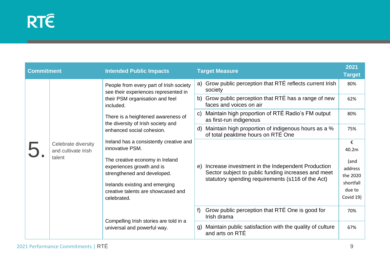| <b>Commitment</b> |                                                      | <b>Intended Public Impacts</b>                                                                                                                                                                                                                   | <b>Target Measure</b>                                                                                                                                               | 2021<br><b>Target</b>                                           |
|-------------------|------------------------------------------------------|--------------------------------------------------------------------------------------------------------------------------------------------------------------------------------------------------------------------------------------------------|---------------------------------------------------------------------------------------------------------------------------------------------------------------------|-----------------------------------------------------------------|
|                   | Celebrate diversity<br>and cultivate Irish<br>talent | People from every part of Irish society<br>see their experiences represented in<br>their PSM organisation and feel<br>included.                                                                                                                  | a) Grow public perception that RTÉ reflects current Irish<br>society                                                                                                | 80%                                                             |
|                   |                                                      |                                                                                                                                                                                                                                                  | Grow public perception that RTÉ has a range of new<br>b)<br>faces and voices on air                                                                                 | 62%                                                             |
|                   |                                                      | There is a heightened awareness of<br>the diversity of Irish society and<br>enhanced social cohesion.                                                                                                                                            | Maintain high proportion of RTÉ Radio's FM output<br>$\mathbf{C}$<br>as first-run indigenous                                                                        | 80%                                                             |
|                   |                                                      |                                                                                                                                                                                                                                                  | Maintain high proportion of indigenous hours as a %<br>d)<br>of total peaktime hours on RTÉ One                                                                     | 75%                                                             |
|                   |                                                      | Ireland has a consistently creative and<br>innovative PSM.<br>The creative economy in Ireland<br>experiences growth and is<br>strengthened and developed.<br>Irelands existing and emerging<br>creative talents are showcased and<br>celebrated. |                                                                                                                                                                     | €<br>40.2m                                                      |
|                   |                                                      |                                                                                                                                                                                                                                                  | Increase investment in the Independent Production<br>e)<br>Sector subject to public funding increases and meet<br>statutory spending requirements (s116 of the Act) | (and<br>address<br>the 2020<br>shortfall<br>due to<br>Covid 19) |
|                   |                                                      | Compelling Irish stories are told in a<br>universal and powerful way.                                                                                                                                                                            | Grow public perception that RTÉ One is good for<br>Irish drama                                                                                                      | 70%                                                             |
|                   |                                                      |                                                                                                                                                                                                                                                  | Maintain public satisfaction with the quality of culture<br>q)<br>and arts on RTE                                                                                   | 67%                                                             |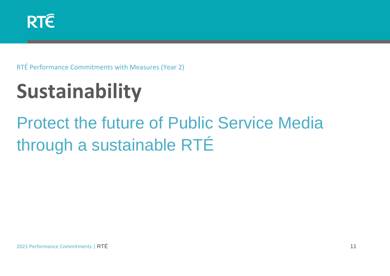RTÉ Performance Commitments with Measures (Year 2)

# **Sustainability**

### Protect the future of Public Service Media through a sustainable RTÉ